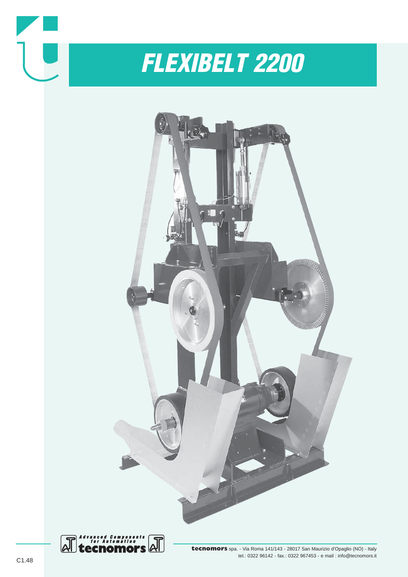

*FLEXIBELT 2200*



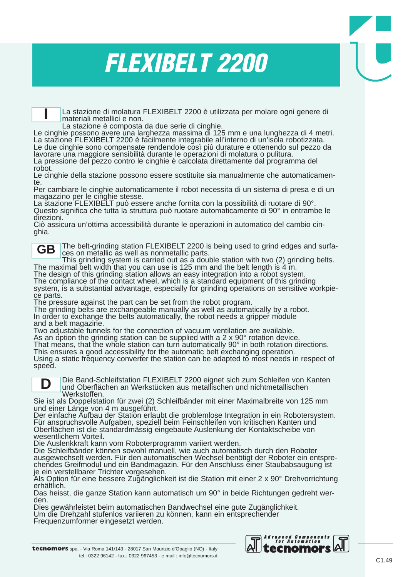## *FLEXIBELT 2200*

La stazione di molatura FLEXIBELT 2200 è utilizzata per molare ogni genere di materiali metallici e non.<br>La stazione è composta da due serie di cinghie.

Le cinghie possono avere una larghezza massima di 125 mm e una lunghezza di 4 metri. La stazione FLEXIBELT 2200 è facilmente integrabile all'interno di un'isola robotizzata. Le due cinghie sono compensate rendendole così più durature e ottenendo sul pezzo da lavorare una maggiore sensibilità durante le operazioni di molatura o pulitura. La pressione del pezzo contro le cinghie è calcolata direttamente dal programma del robot.

Le cinghie della stazione possono essere sostituite sia manualmente che automaticamente.

Per cambiare le cinghie automaticamente il robot necessita di un sistema di presa e di un magazzino per le cinghie stesse.

La stazione FLEXIBELT può essere anche fornita con la possibilità di ruotare di 90°. Questo significa che tutta la struttura può ruotare automaticamente di 90° in entrambe le direzioni.

Ciò assicura un'ottima accessibilità durante le operazioni in automatico del cambio cinghia.

**GB**

**I**

The belt-grinding station FLEXIBELT 2200 is being used to grind edges and surfaces on metallic as well as nonmetallic parts.

This grinding system is carried out as a double station with two (2) grinding belts.<br>The maximal belt width that you can use is 125 mm and the belt length is 4 m.

The design of this grinding station allows an easy integration into a robot system. The compliance of the contact wheel, which is a standard equipment of this grinding system, is a substantial advantage, especially for grinding operations on sensitive workpiece parts.

The pressure against the part can be set from the robot program.

The grinding belts are exchangeable manually as well as automatically by a robot. In order to exchange the belts automatically, the robot needs a gripper module and a belt magazine.

Two adjustable funnels for the connection of vacuum ventilation are available. As an option the grinding station can be supplied with a 2 x 90° rotation device.

That means, that the whole station can turn automatically 90° in both rotation directions. This ensures a good accessibility for the automatic belt exchanging operation.

Using a static frequency converter the station can be adapted to most needs in respect of speed.

**D**

Die Band-Schleifstation FLEXIBELT 2200 eignet sich zum Schleifen von Kanten und Oberflächen an Werkstücken aus metallischen und nichtmetallischen Werkstoffen.

Sie ist als Doppelstation für zwei (2) Schleifbänder mit einer Maximalbreite von 125 mm und einer Länge von 4 m ausgeführt.

Der einfache Aufbau der Station erlaubt die problemlose Integration in ein Robotersystem. Für anspruchsvolle Aufgaben, speziell beim Feinschleifen von kritischen Kanten und Oberflächen ist die standardmässig eingebaute Auslenkung der Kontaktscheibe von wesentlichem Vorteil.

Die Auslenkkraft kann vom Roboterprogramm variiert werden.

Die Schleifbänder können sowohl manuell, wie auch automatisch durch den Roboter ausgewechselt werden. Für den automatischen Wechsel benötigt der Roboter ein entsprechendes Greifmodul und ein Bandmagazin. Für den Anschluss einer Staubabsaugung ist je ein verstellbarer Trichter vorgesehen.

Als Option für eine bessere Zugänglichkeit ist die Station mit einer 2 x 90° Drehvorrichtung erhältlich.

Das heisst, die ganze Station kann automatisch um 90° in beide Richtungen gedreht werden.

Dies gewährleistet beim automatischen Bandwechsel eine gute Zugänglichkeit.

Um die Drehzahl stufenlos variieren zu können, kann ein entsprechender

Frequenzumformer eingesetzt werden.

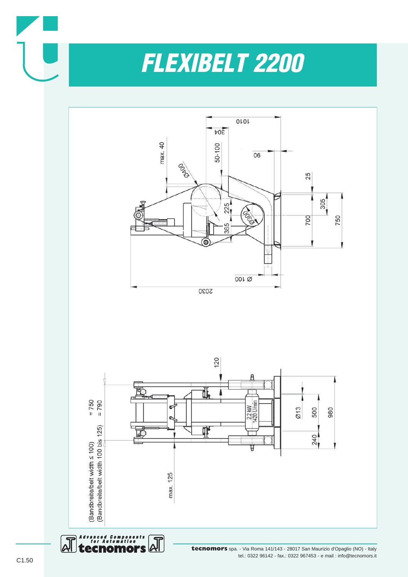